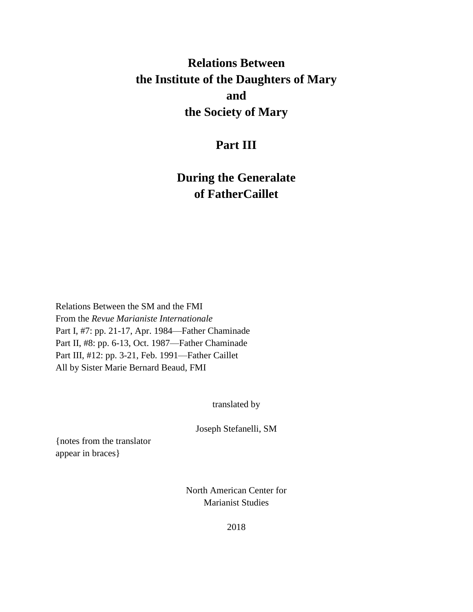# **Relations Between the Institute of the Daughters of Mary and the Society of Mary**

# **Part III**

# **During the Generalate of FatherCaillet**

Relations Between the SM and the FMI From the *Revue Marianiste Internationale* Part I, #7: pp. 21-17, Apr. 1984—Father Chaminade Part II, #8: pp. 6-13, Oct. 1987—Father Chaminade Part III, #12: pp. 3-21, Feb. 1991—Father Caillet All by Sister Marie Bernard Beaud, FMI

translated by

Joseph Stefanelli, SM

{notes from the translator appear in braces}

> North American Center for Marianist Studies

> > 2018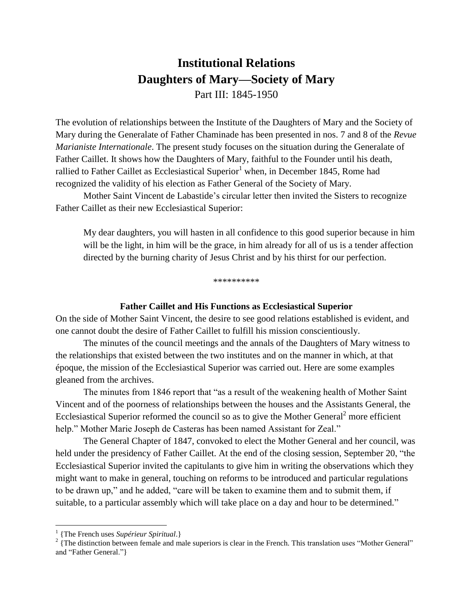# **Institutional Relations Daughters of Mary—Society of Mary** Part III: 1845-1950

The evolution of relationships between the Institute of the Daughters of Mary and the Society of Mary during the Generalate of Father Chaminade has been presented in nos. 7 and 8 of the *Revue Marianiste Internationale*. The present study focuses on the situation during the Generalate of Father Caillet. It shows how the Daughters of Mary, faithful to the Founder until his death, rallied to Father Caillet as Ecclesiastical Superior<sup>1</sup> when, in December 1845, Rome had recognized the validity of his election as Father General of the Society of Mary.

Mother Saint Vincent de Labastide's circular letter then invited the Sisters to recognize Father Caillet as their new Ecclesiastical Superior:

My dear daughters, you will hasten in all confidence to this good superior because in him will be the light, in him will be the grace, in him already for all of us is a tender affection directed by the burning charity of Jesus Christ and by his thirst for our perfection.

\*\*\*\*\*\*\*\*\*\*

#### **Father Caillet and His Functions as Ecclesiastical Superior**

On the side of Mother Saint Vincent, the desire to see good relations established is evident, and one cannot doubt the desire of Father Caillet to fulfill his mission conscientiously.

The minutes of the council meetings and the annals of the Daughters of Mary witness to the relationships that existed between the two institutes and on the manner in which, at that époque, the mission of the Ecclesiastical Superior was carried out. Here are some examples gleaned from the archives.

The minutes from 1846 report that "as a result of the weakening health of Mother Saint Vincent and of the poorness of relationships between the houses and the Assistants General, the Ecclesiastical Superior reformed the council so as to give the Mother General<sup>2</sup> more efficient help." Mother Marie Joseph de Casteras has been named Assistant for Zeal."

The General Chapter of 1847, convoked to elect the Mother General and her council, was held under the presidency of Father Caillet. At the end of the closing session, September 20, "the Ecclesiastical Superior invited the capitulants to give him in writing the observations which they might want to make in general, touching on reforms to be introduced and particular regulations to be drawn up," and he added, "care will be taken to examine them and to submit them, if suitable, to a particular assembly which will take place on a day and hour to be determined."

 $\overline{a}$ 

<sup>1</sup> {The French uses *Supérieur Spiritual*.}

 $2 \nvert$  The distinction between female and male superiors is clear in the French. This translation uses "Mother General" and "Father General."}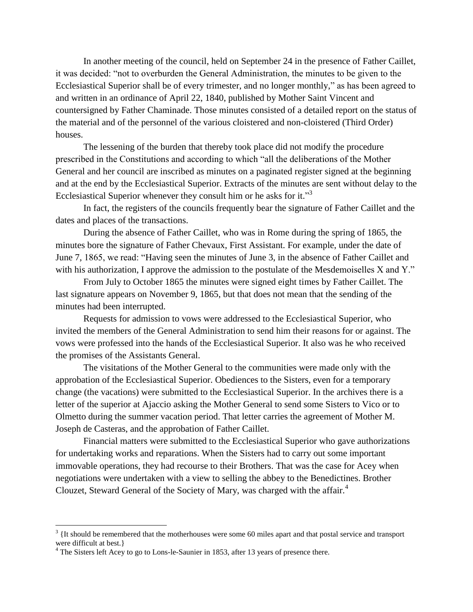In another meeting of the council, held on September 24 in the presence of Father Caillet, it was decided: "not to overburden the General Administration, the minutes to be given to the Ecclesiastical Superior shall be of every trimester, and no longer monthly," as has been agreed to and written in an ordinance of April 22, 1840, published by Mother Saint Vincent and countersigned by Father Chaminade. Those minutes consisted of a detailed report on the status of the material and of the personnel of the various cloistered and non-cloistered (Third Order) houses.

The lessening of the burden that thereby took place did not modify the procedure prescribed in the Constitutions and according to which "all the deliberations of the Mother General and her council are inscribed as minutes on a paginated register signed at the beginning and at the end by the Ecclesiastical Superior. Extracts of the minutes are sent without delay to the Ecclesiastical Superior whenever they consult him or he asks for it."<sup>3</sup>

In fact, the registers of the councils frequently bear the signature of Father Caillet and the dates and places of the transactions.

During the absence of Father Caillet, who was in Rome during the spring of 1865, the minutes bore the signature of Father Chevaux, First Assistant. For example, under the date of June 7, 1865, we read: "Having seen the minutes of June 3, in the absence of Father Caillet and with his authorization, I approve the admission to the postulate of the Mesdemoiselles X and Y."

From July to October 1865 the minutes were signed eight times by Father Caillet. The last signature appears on November 9, 1865, but that does not mean that the sending of the minutes had been interrupted.

Requests for admission to vows were addressed to the Ecclesiastical Superior, who invited the members of the General Administration to send him their reasons for or against. The vows were professed into the hands of the Ecclesiastical Superior. It also was he who received the promises of the Assistants General.

The visitations of the Mother General to the communities were made only with the approbation of the Ecclesiastical Superior. Obediences to the Sisters, even for a temporary change (the vacations) were submitted to the Ecclesiastical Superior. In the archives there is a letter of the superior at Ajaccio asking the Mother General to send some Sisters to Vico or to Olmetto during the summer vacation period. That letter carries the agreement of Mother M. Joseph de Casteras, and the approbation of Father Caillet.

Financial matters were submitted to the Ecclesiastical Superior who gave authorizations for undertaking works and reparations. When the Sisters had to carry out some important immovable operations, they had recourse to their Brothers. That was the case for Acey when negotiations were undertaken with a view to selling the abbey to the Benedictines. Brother Clouzet, Steward General of the Society of Mary, was charged with the affair.<sup>4</sup>

 $\overline{a}$ 

 $3 \{$ It should be remembered that the motherhouses were some 60 miles apart and that postal service and transport were difficult at best.}

 $4$  The Sisters left Acey to go to Lons-le-Saunier in 1853, after 13 years of presence there.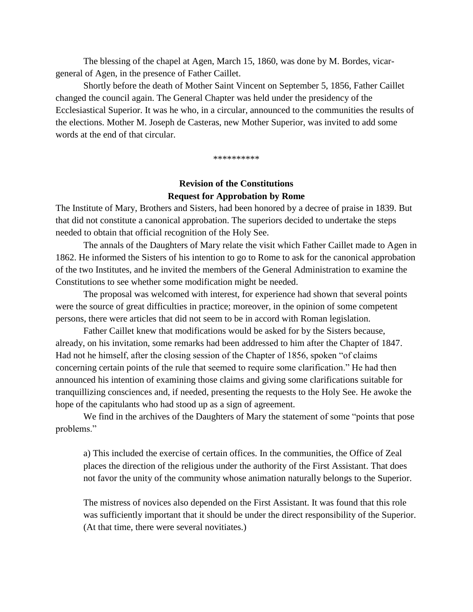The blessing of the chapel at Agen, March 15, 1860, was done by M. Bordes, vicargeneral of Agen, in the presence of Father Caillet.

Shortly before the death of Mother Saint Vincent on September 5, 1856, Father Caillet changed the council again. The General Chapter was held under the presidency of the Ecclesiastical Superior. It was he who, in a circular, announced to the communities the results of the elections. Mother M. Joseph de Casteras, new Mother Superior, was invited to add some words at the end of that circular.

\*\*\*\*\*\*\*\*\*\*

## **Revision of the Constitutions Request for Approbation by Rome**

The Institute of Mary, Brothers and Sisters, had been honored by a decree of praise in 1839. But that did not constitute a canonical approbation. The superiors decided to undertake the steps needed to obtain that official recognition of the Holy See.

The annals of the Daughters of Mary relate the visit which Father Caillet made to Agen in 1862. He informed the Sisters of his intention to go to Rome to ask for the canonical approbation of the two Institutes, and he invited the members of the General Administration to examine the Constitutions to see whether some modification might be needed.

The proposal was welcomed with interest, for experience had shown that several points were the source of great difficulties in practice; moreover, in the opinion of some competent persons, there were articles that did not seem to be in accord with Roman legislation.

Father Caillet knew that modifications would be asked for by the Sisters because, already, on his invitation, some remarks had been addressed to him after the Chapter of 1847. Had not he himself, after the closing session of the Chapter of 1856, spoken "of claims concerning certain points of the rule that seemed to require some clarification." He had then announced his intention of examining those claims and giving some clarifications suitable for tranquillizing consciences and, if needed, presenting the requests to the Holy See. He awoke the hope of the capitulants who had stood up as a sign of agreement.

We find in the archives of the Daughters of Mary the statement of some "points that pose problems."

a) This included the exercise of certain offices. In the communities, the Office of Zeal places the direction of the religious under the authority of the First Assistant. That does not favor the unity of the community whose animation naturally belongs to the Superior.

The mistress of novices also depended on the First Assistant. It was found that this role was sufficiently important that it should be under the direct responsibility of the Superior. (At that time, there were several novitiates.)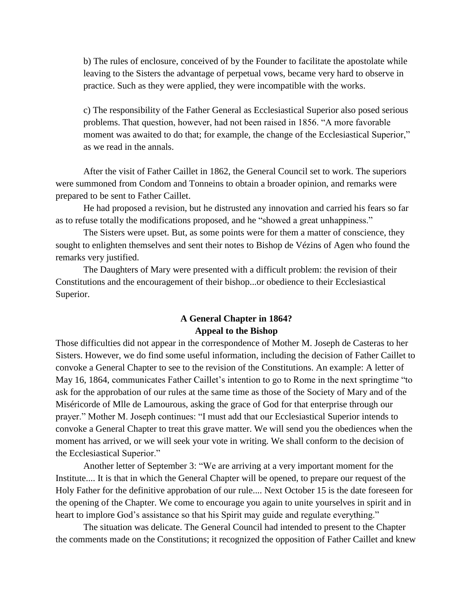b) The rules of enclosure, conceived of by the Founder to facilitate the apostolate while leaving to the Sisters the advantage of perpetual vows, became very hard to observe in practice. Such as they were applied, they were incompatible with the works.

c) The responsibility of the Father General as Ecclesiastical Superior also posed serious problems. That question, however, had not been raised in 1856. "A more favorable moment was awaited to do that; for example, the change of the Ecclesiastical Superior," as we read in the annals.

After the visit of Father Caillet in 1862, the General Council set to work. The superiors were summoned from Condom and Tonneins to obtain a broader opinion, and remarks were prepared to be sent to Father Caillet.

He had proposed a revision, but he distrusted any innovation and carried his fears so far as to refuse totally the modifications proposed, and he "showed a great unhappiness."

The Sisters were upset. But, as some points were for them a matter of conscience, they sought to enlighten themselves and sent their notes to Bishop de Vézins of Agen who found the remarks very justified.

The Daughters of Mary were presented with a difficult problem: the revision of their Constitutions and the encouragement of their bishop...or obedience to their Ecclesiastical Superior.

## **A General Chapter in 1864? Appeal to the Bishop**

Those difficulties did not appear in the correspondence of Mother M. Joseph de Casteras to her Sisters. However, we do find some useful information, including the decision of Father Caillet to convoke a General Chapter to see to the revision of the Constitutions. An example: A letter of May 16, 1864, communicates Father Caillet's intention to go to Rome in the next springtime "to ask for the approbation of our rules at the same time as those of the Society of Mary and of the Miséricorde of Mlle de Lamourous, asking the grace of God for that enterprise through our prayer." Mother M. Joseph continues: "I must add that our Ecclesiastical Superior intends to convoke a General Chapter to treat this grave matter. We will send you the obediences when the moment has arrived, or we will seek your vote in writing. We shall conform to the decision of the Ecclesiastical Superior."

Another letter of September 3: "We are arriving at a very important moment for the Institute.... It is that in which the General Chapter will be opened, to prepare our request of the Holy Father for the definitive approbation of our rule.... Next October 15 is the date foreseen for the opening of the Chapter. We come to encourage you again to unite yourselves in spirit and in heart to implore God's assistance so that his Spirit may guide and regulate everything."

The situation was delicate. The General Council had intended to present to the Chapter the comments made on the Constitutions; it recognized the opposition of Father Caillet and knew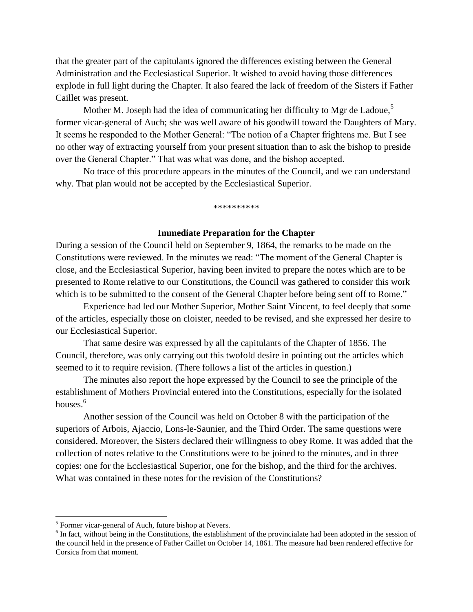that the greater part of the capitulants ignored the differences existing between the General Administration and the Ecclesiastical Superior. It wished to avoid having those differences explode in full light during the Chapter. It also feared the lack of freedom of the Sisters if Father Caillet was present.

Mother M. Joseph had the idea of communicating her difficulty to Mgr de Ladoue,<sup>5</sup> former vicar-general of Auch; she was well aware of his goodwill toward the Daughters of Mary. It seems he responded to the Mother General: "The notion of a Chapter frightens me. But I see no other way of extracting yourself from your present situation than to ask the bishop to preside over the General Chapter." That was what was done, and the bishop accepted.

No trace of this procedure appears in the minutes of the Council, and we can understand why. That plan would not be accepted by the Ecclesiastical Superior.

\*\*\*\*\*\*\*\*\*\*

#### **Immediate Preparation for the Chapter**

During a session of the Council held on September 9, 1864, the remarks to be made on the Constitutions were reviewed. In the minutes we read: "The moment of the General Chapter is close, and the Ecclesiastical Superior, having been invited to prepare the notes which are to be presented to Rome relative to our Constitutions, the Council was gathered to consider this work which is to be submitted to the consent of the General Chapter before being sent off to Rome."

Experience had led our Mother Superior, Mother Saint Vincent, to feel deeply that some of the articles, especially those on cloister, needed to be revised, and she expressed her desire to our Ecclesiastical Superior.

That same desire was expressed by all the capitulants of the Chapter of 1856. The Council, therefore, was only carrying out this twofold desire in pointing out the articles which seemed to it to require revision. (There follows a list of the articles in question.)

The minutes also report the hope expressed by the Council to see the principle of the establishment of Mothers Provincial entered into the Constitutions, especially for the isolated houses. $6$ 

Another session of the Council was held on October 8 with the participation of the superiors of Arbois, Ajaccio, Lons-le-Saunier, and the Third Order. The same questions were considered. Moreover, the Sisters declared their willingness to obey Rome. It was added that the collection of notes relative to the Constitutions were to be joined to the minutes, and in three copies: one for the Ecclesiastical Superior, one for the bishop, and the third for the archives. What was contained in these notes for the revision of the Constitutions?

 $\overline{a}$ 

 $<sup>5</sup>$  Former vicar-general of Auch, future bishop at Nevers.</sup>

<sup>&</sup>lt;sup>6</sup> In fact, without being in the Constitutions, the establishment of the provincialate had been adopted in the session of the council held in the presence of Father Caillet on October 14, 1861. The measure had been rendered effective for Corsica from that moment.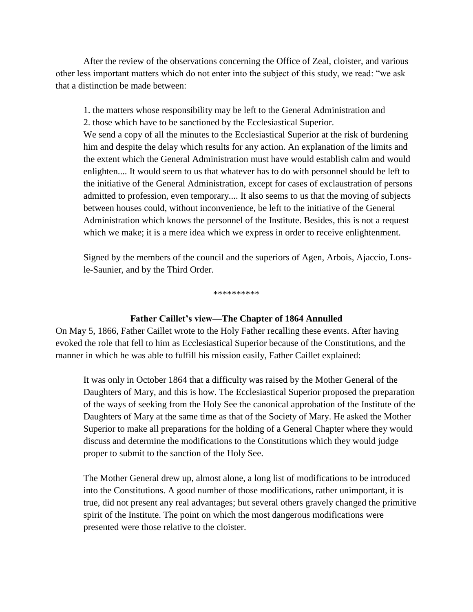After the review of the observations concerning the Office of Zeal, cloister, and various other less important matters which do not enter into the subject of this study, we read: "we ask that a distinction be made between:

1. the matters whose responsibility may be left to the General Administration and 2. those which have to be sanctioned by the Ecclesiastical Superior.

We send a copy of all the minutes to the Ecclesiastical Superior at the risk of burdening him and despite the delay which results for any action. An explanation of the limits and the extent which the General Administration must have would establish calm and would enlighten.... It would seem to us that whatever has to do with personnel should be left to the initiative of the General Administration, except for cases of exclaustration of persons admitted to profession, even temporary.... It also seems to us that the moving of subjects between houses could, without inconvenience, be left to the initiative of the General Administration which knows the personnel of the Institute. Besides, this is not a request which we make; it is a mere idea which we express in order to receive enlightenment.

Signed by the members of the council and the superiors of Agen, Arbois, Ajaccio, Lonsle-Saunier, and by the Third Order.

\*\*\*\*\*\*\*\*\*\*

### **Father Caillet's view—The Chapter of 1864 Annulled**

On May 5, 1866, Father Caillet wrote to the Holy Father recalling these events. After having evoked the role that fell to him as Ecclesiastical Superior because of the Constitutions, and the manner in which he was able to fulfill his mission easily, Father Caillet explained:

It was only in October 1864 that a difficulty was raised by the Mother General of the Daughters of Mary, and this is how. The Ecclesiastical Superior proposed the preparation of the ways of seeking from the Holy See the canonical approbation of the Institute of the Daughters of Mary at the same time as that of the Society of Mary. He asked the Mother Superior to make all preparations for the holding of a General Chapter where they would discuss and determine the modifications to the Constitutions which they would judge proper to submit to the sanction of the Holy See.

The Mother General drew up, almost alone, a long list of modifications to be introduced into the Constitutions. A good number of those modifications, rather unimportant, it is true, did not present any real advantages; but several others gravely changed the primitive spirit of the Institute. The point on which the most dangerous modifications were presented were those relative to the cloister.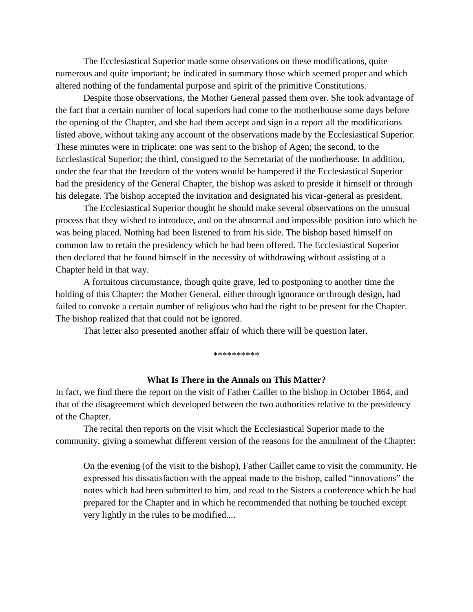The Ecclesiastical Superior made some observations on these modifications, quite numerous and quite important; he indicated in summary those which seemed proper and which altered nothing of the fundamental purpose and spirit of the primitive Constitutions.

Despite those observations, the Mother General passed them over. She took advantage of the fact that a certain number of local superiors had come to the motherhouse some days before the opening of the Chapter, and she had them accept and sign in a report all the modifications listed above, without taking any account of the observations made by the Ecclesiastical Superior. These minutes were in triplicate: one was sent to the bishop of Agen; the second, to the Ecclesiastical Superior; the third, consigned to the Secretariat of the motherhouse. In addition, under the fear that the freedom of the voters would be hampered if the Ecclesiastical Superior had the presidency of the General Chapter, the bishop was asked to preside it himself or through his delegate. The bishop accepted the invitation and designated his vicar-general as president.

The Ecclesiastical Superior thought he should make several observations on the unusual process that they wished to introduce, and on the abnormal and impossible position into which he was being placed. Nothing had been listened to from his side. The bishop based himself on common law to retain the presidency which he had been offered. The Ecclesiastical Superior then declared that he found himself in the necessity of withdrawing without assisting at a Chapter held in that way.

A fortuitous circumstance, though quite grave, led to postponing to another time the holding of this Chapter: the Mother General, either through ignorance or through design, had failed to convoke a certain number of religious who had the right to be present for the Chapter. The bishop realized that that could not be ignored.

That letter also presented another affair of which there will be question later.

\*\*\*\*\*\*\*\*\*\*

#### **What Is There in the Annals on This Matter?**

In fact, we find there the report on the visit of Father Caillet to the bishop in October 1864, and that of the disagreement which developed between the two authorities relative to the presidency of the Chapter.

The recital then reports on the visit which the Ecclesiastical Superior made to the community, giving a somewhat different version of the reasons for the annulment of the Chapter:

On the evening (of the visit to the bishop), Father Caillet came to visit the community. He expressed his dissatisfaction with the appeal made to the bishop, called "innovations" the notes which had been submitted to him, and read to the Sisters a conference which he had prepared for the Chapter and in which he recommended that nothing be touched except very lightly in the rules to be modified....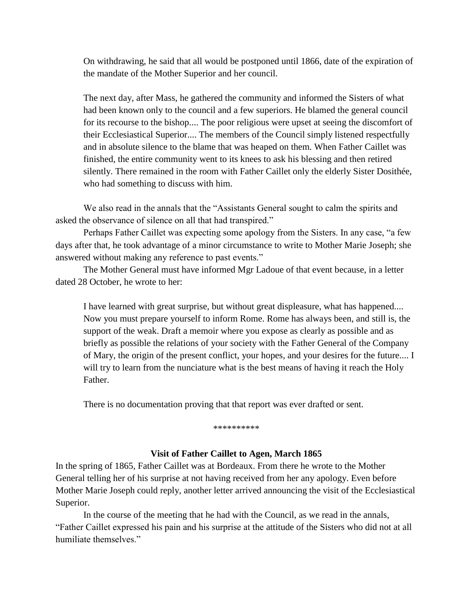On withdrawing, he said that all would be postponed until 1866, date of the expiration of the mandate of the Mother Superior and her council.

The next day, after Mass, he gathered the community and informed the Sisters of what had been known only to the council and a few superiors. He blamed the general council for its recourse to the bishop.... The poor religious were upset at seeing the discomfort of their Ecclesiastical Superior.... The members of the Council simply listened respectfully and in absolute silence to the blame that was heaped on them. When Father Caillet was finished, the entire community went to its knees to ask his blessing and then retired silently. There remained in the room with Father Caillet only the elderly Sister Dosithée, who had something to discuss with him.

We also read in the annals that the "Assistants General sought to calm the spirits and asked the observance of silence on all that had transpired."

Perhaps Father Caillet was expecting some apology from the Sisters. In any case, "a few days after that, he took advantage of a minor circumstance to write to Mother Marie Joseph; she answered without making any reference to past events."

The Mother General must have informed Mgr Ladoue of that event because, in a letter dated 28 October, he wrote to her:

I have learned with great surprise, but without great displeasure, what has happened.... Now you must prepare yourself to inform Rome. Rome has always been, and still is, the support of the weak. Draft a memoir where you expose as clearly as possible and as briefly as possible the relations of your society with the Father General of the Company of Mary, the origin of the present conflict, your hopes, and your desires for the future.... I will try to learn from the nunciature what is the best means of having it reach the Holy Father.

There is no documentation proving that that report was ever drafted or sent.

#### \*\*\*\*\*\*\*\*\*

#### **Visit of Father Caillet to Agen, March 1865**

In the spring of 1865, Father Caillet was at Bordeaux. From there he wrote to the Mother General telling her of his surprise at not having received from her any apology. Even before Mother Marie Joseph could reply, another letter arrived announcing the visit of the Ecclesiastical Superior.

In the course of the meeting that he had with the Council, as we read in the annals, "Father Caillet expressed his pain and his surprise at the attitude of the Sisters who did not at all humiliate themselves."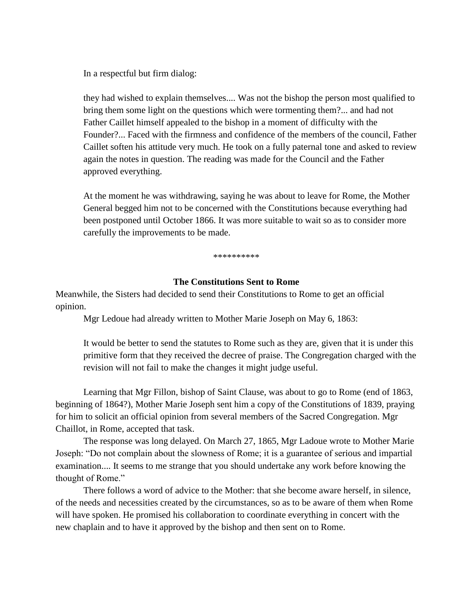In a respectful but firm dialog:

they had wished to explain themselves.... Was not the bishop the person most qualified to bring them some light on the questions which were tormenting them?... and had not Father Caillet himself appealed to the bishop in a moment of difficulty with the Founder?... Faced with the firmness and confidence of the members of the council, Father Caillet soften his attitude very much. He took on a fully paternal tone and asked to review again the notes in question. The reading was made for the Council and the Father approved everything.

At the moment he was withdrawing, saying he was about to leave for Rome, the Mother General begged him not to be concerned with the Constitutions because everything had been postponed until October 1866. It was more suitable to wait so as to consider more carefully the improvements to be made.

\*\*\*\*\*\*\*\*\*\*

### **The Constitutions Sent to Rome**

Meanwhile, the Sisters had decided to send their Constitutions to Rome to get an official opinion.

Mgr Ledoue had already written to Mother Marie Joseph on May 6, 1863:

It would be better to send the statutes to Rome such as they are, given that it is under this primitive form that they received the decree of praise. The Congregation charged with the revision will not fail to make the changes it might judge useful.

Learning that Mgr Fillon, bishop of Saint Clause, was about to go to Rome (end of 1863, beginning of 1864?), Mother Marie Joseph sent him a copy of the Constitutions of 1839, praying for him to solicit an official opinion from several members of the Sacred Congregation. Mgr Chaillot, in Rome, accepted that task.

The response was long delayed. On March 27, 1865, Mgr Ladoue wrote to Mother Marie Joseph: "Do not complain about the slowness of Rome; it is a guarantee of serious and impartial examination.... It seems to me strange that you should undertake any work before knowing the thought of Rome."

There follows a word of advice to the Mother: that she become aware herself, in silence, of the needs and necessities created by the circumstances, so as to be aware of them when Rome will have spoken. He promised his collaboration to coordinate everything in concert with the new chaplain and to have it approved by the bishop and then sent on to Rome.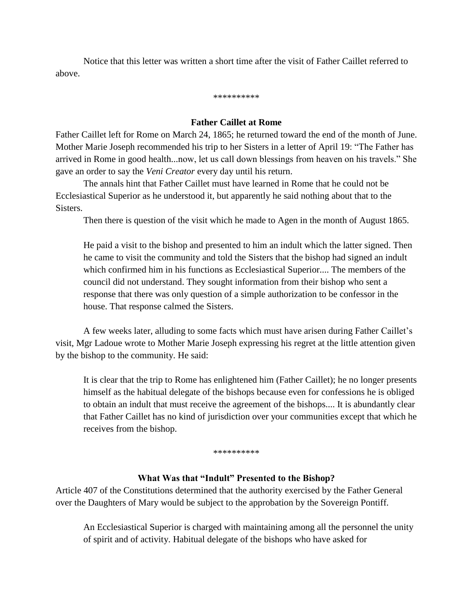Notice that this letter was written a short time after the visit of Father Caillet referred to above.

\*\*\*\*\*\*\*\*\*\*

#### **Father Caillet at Rome**

Father Caillet left for Rome on March 24, 1865; he returned toward the end of the month of June. Mother Marie Joseph recommended his trip to her Sisters in a letter of April 19: "The Father has arrived in Rome in good health...now, let us call down blessings from heaven on his travels." She gave an order to say the *Veni Creator* every day until his return.

The annals hint that Father Caillet must have learned in Rome that he could not be Ecclesiastical Superior as he understood it, but apparently he said nothing about that to the Sisters.

Then there is question of the visit which he made to Agen in the month of August 1865.

He paid a visit to the bishop and presented to him an indult which the latter signed. Then he came to visit the community and told the Sisters that the bishop had signed an indult which confirmed him in his functions as Ecclesiastical Superior.... The members of the council did not understand. They sought information from their bishop who sent a response that there was only question of a simple authorization to be confessor in the house. That response calmed the Sisters.

A few weeks later, alluding to some facts which must have arisen during Father Caillet's visit, Mgr Ladoue wrote to Mother Marie Joseph expressing his regret at the little attention given by the bishop to the community. He said:

It is clear that the trip to Rome has enlightened him (Father Caillet); he no longer presents himself as the habitual delegate of the bishops because even for confessions he is obliged to obtain an indult that must receive the agreement of the bishops.... It is abundantly clear that Father Caillet has no kind of jurisdiction over your communities except that which he receives from the bishop.

\*\*\*\*\*\*\*\*\*\*

### **What Was that "Indult" Presented to the Bishop?**

Article 407 of the Constitutions determined that the authority exercised by the Father General over the Daughters of Mary would be subject to the approbation by the Sovereign Pontiff.

An Ecclesiastical Superior is charged with maintaining among all the personnel the unity of spirit and of activity. Habitual delegate of the bishops who have asked for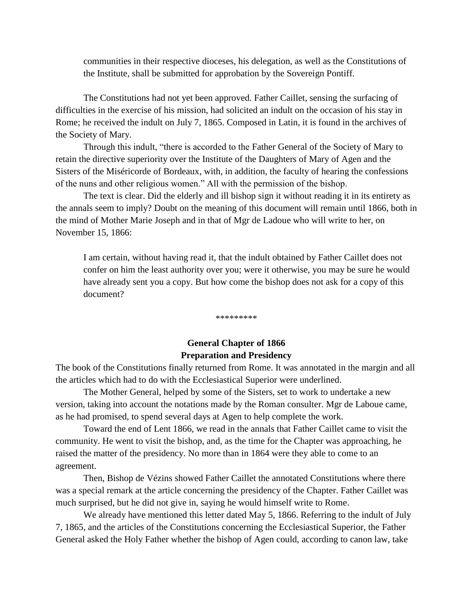communities in their respective dioceses, his delegation, as well as the Constitutions of the Institute, shall be submitted for approbation by the Sovereign Pontiff.

The Constitutions had not yet been approved. Father Caillet, sensing the surfacing of difficulties in the exercise of his mission, had solicited an indult on the occasion of his stay in Rome; he received the indult on July 7, 1865. Composed in Latin, it is found in the archives of the Society of Mary.

Through this indult, "there is accorded to the Father General of the Society of Mary to retain the directive superiority over the Institute of the Daughters of Mary of Agen and the Sisters of the Miséricorde of Bordeaux, with, in addition, the faculty of hearing the confessions of the nuns and other religious women." All with the permission of the bishop.

The text is clear. Did the elderly and ill bishop sign it without reading it in its entirety as the annals seem to imply? Doubt on the meaning of this document will remain until 1866, both in the mind of Mother Marie Joseph and in that of Mgr de Ladoue who will write to her, on November 15, 1866:

I am certain, without having read it, that the indult obtained by Father Caillet does not confer on him the least authority over you; were it otherwise, you may be sure he would have already sent you a copy. But how come the bishop does not ask for a copy of this document?

\*\*\*\*\*\*\*\*\*

## **General Chapter of 1866 Preparation and Presidency**

The book of the Constitutions finally returned from Rome. It was annotated in the margin and all the articles which had to do with the Ecclesiastical Superior were underlined.

The Mother General, helped by some of the Sisters, set to work to undertake a new version, taking into account the notations made by the Roman consulter. Mgr de Laboue came, as he had promised, to spend several days at Agen to help complete the work.

Toward the end of Lent 1866, we read in the annals that Father Caillet came to visit the community. He went to visit the bishop, and, as the time for the Chapter was approaching, he raised the matter of the presidency. No more than in 1864 were they able to come to an agreement.

Then, Bishop de Vézins showed Father Caillet the annotated Constitutions where there was a special remark at the article concerning the presidency of the Chapter. Father Caillet was much surprised, but he did not give in, saying he would himself write to Rome.

We already have mentioned this letter dated May 5, 1866. Referring to the indult of July 7, 1865, and the articles of the Constitutions concerning the Ecclesiastical Superior, the Father General asked the Holy Father whether the bishop of Agen could, according to canon law, take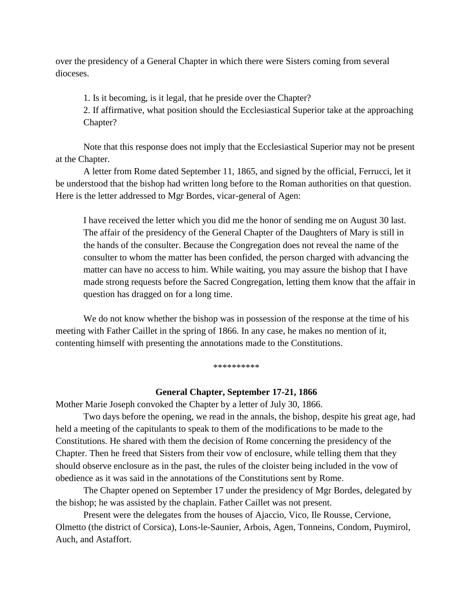over the presidency of a General Chapter in which there were Sisters coming from several dioceses.

1. Is it becoming, is it legal, that he preside over the Chapter?

2. If affirmative, what position should the Ecclesiastical Superior take at the approaching Chapter?

Note that this response does not imply that the Ecclesiastical Superior may not be present at the Chapter.

A letter from Rome dated September 11, 1865, and signed by the official, Ferrucci, let it be understood that the bishop had written long before to the Roman authorities on that question. Here is the letter addressed to Mgr Bordes, vicar-general of Agen:

I have received the letter which you did me the honor of sending me on August 30 last. The affair of the presidency of the General Chapter of the Daughters of Mary is still in the hands of the consulter. Because the Congregation does not reveal the name of the consulter to whom the matter has been confided, the person charged with advancing the matter can have no access to him. While waiting, you may assure the bishop that I have made strong requests before the Sacred Congregation, letting them know that the affair in question has dragged on for a long time.

We do not know whether the bishop was in possession of the response at the time of his meeting with Father Caillet in the spring of 1866. In any case, he makes no mention of it, contenting himself with presenting the annotations made to the Constitutions.

#### \*\*\*\*\*\*\*\*\*

#### **General Chapter, September 17-21, 1866**

Mother Marie Joseph convoked the Chapter by a letter of July 30, 1866.

Two days before the opening, we read in the annals, the bishop, despite his great age, had held a meeting of the capitulants to speak to them of the modifications to be made to the Constitutions. He shared with them the decision of Rome concerning the presidency of the Chapter. Then he freed that Sisters from their vow of enclosure, while telling them that they should observe enclosure as in the past, the rules of the cloister being included in the vow of obedience as it was said in the annotations of the Constitutions sent by Rome.

The Chapter opened on September 17 under the presidency of Mgr Bordes, delegated by the bishop; he was assisted by the chaplain. Father Caillet was not present.

Present were the delegates from the houses of Ajaccio, Vico, Ile Rousse, Cervione, Olmetto (the district of Corsica), Lons-le-Saunier, Arbois, Agen, Tonneins, Condom, Puymirol, Auch, and Astaffort.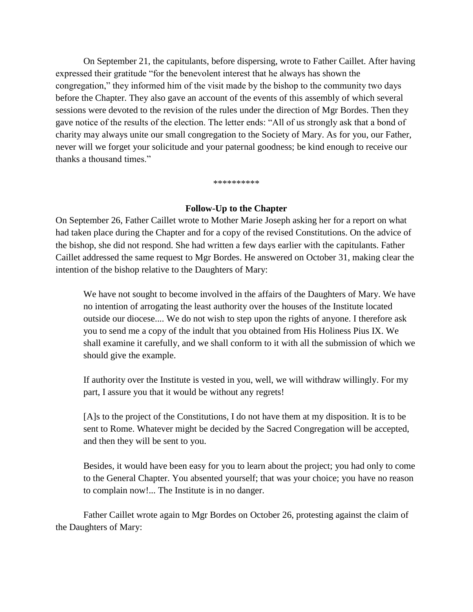On September 21, the capitulants, before dispersing, wrote to Father Caillet. After having expressed their gratitude "for the benevolent interest that he always has shown the congregation," they informed him of the visit made by the bishop to the community two days before the Chapter. They also gave an account of the events of this assembly of which several sessions were devoted to the revision of the rules under the direction of Mgr Bordes. Then they gave notice of the results of the election. The letter ends: "All of us strongly ask that a bond of charity may always unite our small congregation to the Society of Mary. As for you, our Father, never will we forget your solicitude and your paternal goodness; be kind enough to receive our thanks a thousand times."

#### \*\*\*\*\*\*\*\*\*\*

### **Follow-Up to the Chapter**

On September 26, Father Caillet wrote to Mother Marie Joseph asking her for a report on what had taken place during the Chapter and for a copy of the revised Constitutions. On the advice of the bishop, she did not respond. She had written a few days earlier with the capitulants. Father Caillet addressed the same request to Mgr Bordes. He answered on October 31, making clear the intention of the bishop relative to the Daughters of Mary:

We have not sought to become involved in the affairs of the Daughters of Mary. We have no intention of arrogating the least authority over the houses of the Institute located outside our diocese.... We do not wish to step upon the rights of anyone. I therefore ask you to send me a copy of the indult that you obtained from His Holiness Pius IX. We shall examine it carefully, and we shall conform to it with all the submission of which we should give the example.

If authority over the Institute is vested in you, well, we will withdraw willingly. For my part, I assure you that it would be without any regrets!

[A]s to the project of the Constitutions, I do not have them at my disposition. It is to be sent to Rome. Whatever might be decided by the Sacred Congregation will be accepted, and then they will be sent to you.

Besides, it would have been easy for you to learn about the project; you had only to come to the General Chapter. You absented yourself; that was your choice; you have no reason to complain now!... The Institute is in no danger.

Father Caillet wrote again to Mgr Bordes on October 26, protesting against the claim of the Daughters of Mary: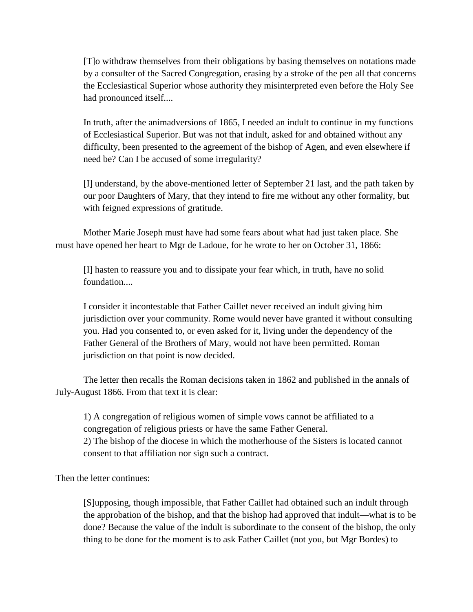[T]o withdraw themselves from their obligations by basing themselves on notations made by a consulter of the Sacred Congregation, erasing by a stroke of the pen all that concerns the Ecclesiastical Superior whose authority they misinterpreted even before the Holy See had pronounced itself....

In truth, after the animadversions of 1865, I needed an indult to continue in my functions of Ecclesiastical Superior. But was not that indult, asked for and obtained without any difficulty, been presented to the agreement of the bishop of Agen, and even elsewhere if need be? Can I be accused of some irregularity?

[I] understand, by the above-mentioned letter of September 21 last, and the path taken by our poor Daughters of Mary, that they intend to fire me without any other formality, but with feigned expressions of gratitude.

Mother Marie Joseph must have had some fears about what had just taken place. She must have opened her heart to Mgr de Ladoue, for he wrote to her on October 31, 1866:

[I] hasten to reassure you and to dissipate your fear which, in truth, have no solid foundation....

I consider it incontestable that Father Caillet never received an indult giving him jurisdiction over your community. Rome would never have granted it without consulting you. Had you consented to, or even asked for it, living under the dependency of the Father General of the Brothers of Mary, would not have been permitted. Roman jurisdiction on that point is now decided.

The letter then recalls the Roman decisions taken in 1862 and published in the annals of July-August 1866. From that text it is clear:

1) A congregation of religious women of simple vows cannot be affiliated to a congregation of religious priests or have the same Father General. 2) The bishop of the diocese in which the motherhouse of the Sisters is located cannot consent to that affiliation nor sign such a contract.

Then the letter continues:

[S]upposing, though impossible, that Father Caillet had obtained such an indult through the approbation of the bishop, and that the bishop had approved that indult—what is to be done? Because the value of the indult is subordinate to the consent of the bishop, the only thing to be done for the moment is to ask Father Caillet (not you, but Mgr Bordes) to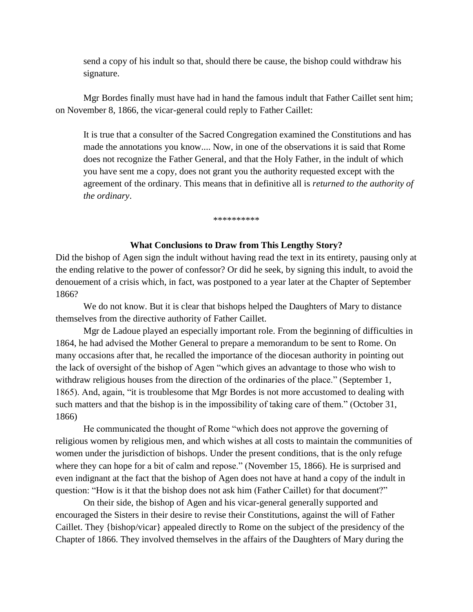send a copy of his indult so that, should there be cause, the bishop could withdraw his signature.

Mgr Bordes finally must have had in hand the famous indult that Father Caillet sent him; on November 8, 1866, the vicar-general could reply to Father Caillet:

It is true that a consulter of the Sacred Congregation examined the Constitutions and has made the annotations you know.... Now, in one of the observations it is said that Rome does not recognize the Father General, and that the Holy Father, in the indult of which you have sent me a copy, does not grant you the authority requested except with the agreement of the ordinary. This means that in definitive all is *returned to the authority of the ordinary*.

\*\*\*\*\*\*\*\*\*\*

#### **What Conclusions to Draw from This Lengthy Story?**

Did the bishop of Agen sign the indult without having read the text in its entirety, pausing only at the ending relative to the power of confessor? Or did he seek, by signing this indult, to avoid the denouement of a crisis which, in fact, was postponed to a year later at the Chapter of September 1866?

We do not know. But it is clear that bishops helped the Daughters of Mary to distance themselves from the directive authority of Father Caillet.

Mgr de Ladoue played an especially important role. From the beginning of difficulties in 1864, he had advised the Mother General to prepare a memorandum to be sent to Rome. On many occasions after that, he recalled the importance of the diocesan authority in pointing out the lack of oversight of the bishop of Agen "which gives an advantage to those who wish to withdraw religious houses from the direction of the ordinaries of the place." (September 1, 1865). And, again, "it is troublesome that Mgr Bordes is not more accustomed to dealing with such matters and that the bishop is in the impossibility of taking care of them." (October 31, 1866)

He communicated the thought of Rome "which does not approve the governing of religious women by religious men, and which wishes at all costs to maintain the communities of women under the jurisdiction of bishops. Under the present conditions, that is the only refuge where they can hope for a bit of calm and repose." (November 15, 1866). He is surprised and even indignant at the fact that the bishop of Agen does not have at hand a copy of the indult in question: "How is it that the bishop does not ask him (Father Caillet) for that document?"

On their side, the bishop of Agen and his vicar-general generally supported and encouraged the Sisters in their desire to revise their Constitutions, against the will of Father Caillet. They {bishop/vicar} appealed directly to Rome on the subject of the presidency of the Chapter of 1866. They involved themselves in the affairs of the Daughters of Mary during the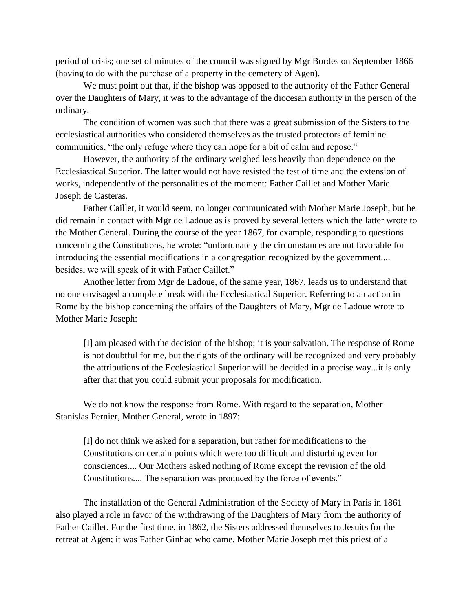period of crisis; one set of minutes of the council was signed by Mgr Bordes on September 1866 (having to do with the purchase of a property in the cemetery of Agen).

We must point out that, if the bishop was opposed to the authority of the Father General over the Daughters of Mary, it was to the advantage of the diocesan authority in the person of the ordinary.

The condition of women was such that there was a great submission of the Sisters to the ecclesiastical authorities who considered themselves as the trusted protectors of feminine communities, "the only refuge where they can hope for a bit of calm and repose."

However, the authority of the ordinary weighed less heavily than dependence on the Ecclesiastical Superior. The latter would not have resisted the test of time and the extension of works, independently of the personalities of the moment: Father Caillet and Mother Marie Joseph de Casteras.

Father Caillet, it would seem, no longer communicated with Mother Marie Joseph, but he did remain in contact with Mgr de Ladoue as is proved by several letters which the latter wrote to the Mother General. During the course of the year 1867, for example, responding to questions concerning the Constitutions, he wrote: "unfortunately the circumstances are not favorable for introducing the essential modifications in a congregation recognized by the government.... besides, we will speak of it with Father Caillet."

Another letter from Mgr de Ladoue, of the same year, 1867, leads us to understand that no one envisaged a complete break with the Ecclesiastical Superior. Referring to an action in Rome by the bishop concerning the affairs of the Daughters of Mary, Mgr de Ladoue wrote to Mother Marie Joseph:

[I] am pleased with the decision of the bishop; it is your salvation. The response of Rome is not doubtful for me, but the rights of the ordinary will be recognized and very probably the attributions of the Ecclesiastical Superior will be decided in a precise way...it is only after that that you could submit your proposals for modification.

We do not know the response from Rome. With regard to the separation, Mother Stanislas Pernier, Mother General, wrote in 1897:

[I] do not think we asked for a separation, but rather for modifications to the Constitutions on certain points which were too difficult and disturbing even for consciences.... Our Mothers asked nothing of Rome except the revision of the old Constitutions.... The separation was produced by the force of events."

The installation of the General Administration of the Society of Mary in Paris in 1861 also played a role in favor of the withdrawing of the Daughters of Mary from the authority of Father Caillet. For the first time, in 1862, the Sisters addressed themselves to Jesuits for the retreat at Agen; it was Father Ginhac who came. Mother Marie Joseph met this priest of a